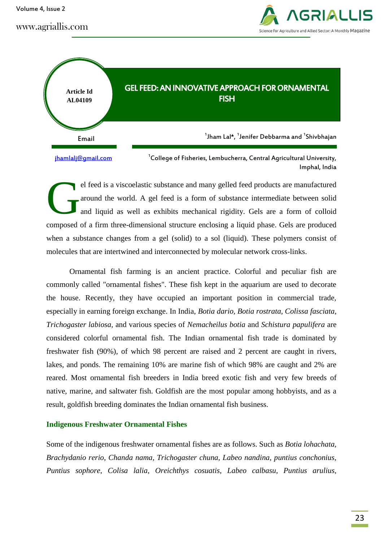www.agriallis.com





el feed is a viscoelastic substance and many gelled feed products are manufactured around the world. A gel feed is a form of substance intermediate between solid and liquid as well as exhibits mechanical rigidity. Gels are a form of colloid composed of a firm three-dimensional structure enclosing a liquid phase. Gels are produced when a substance changes from a gel (solid) to a sol (liquid). These polymers consist of molecules that are intertwined and interconnected by molecular network cross-links. G

Ornamental fish farming is an ancient practice. Colorful and peculiar fish are commonly called "ornamental fishes". These fish kept in the aquarium are used to decorate the house. Recently, they have occupied an important position in commercial trade, especially in earning foreign exchange. In India, *Botia dario, Botia rostrata, Colissa fasciata, Trichogaster labiosa*, and various species of *Nemacheilus botia* and *Schistura papulifera* are considered colorful ornamental fish. The Indian ornamental fish trade is dominated by freshwater fish (90%), of which 98 percent are raised and 2 percent are caught in rivers, lakes, and ponds. The remaining 10% are marine fish of which 98% are caught and 2% are reared. Most ornamental fish breeders in India breed exotic fish and very few breeds of native, marine, and saltwater fish. Goldfish are the most popular among hobbyists, and as a result, goldfish breeding dominates the Indian ornamental fish business.

#### **Indigenous Freshwater Ornamental Fishes**

Some of the indigenous freshwater ornamental fishes are as follows. Such as *Botia lohachata, Brachydanio rerio, Chanda nama, Trichogaster chuna, Labeo nandina, puntius conchonius, Puntius sophore, Colisa lalia, Oreichthys cosuatis, Labeo calbasu, Puntius arulius,*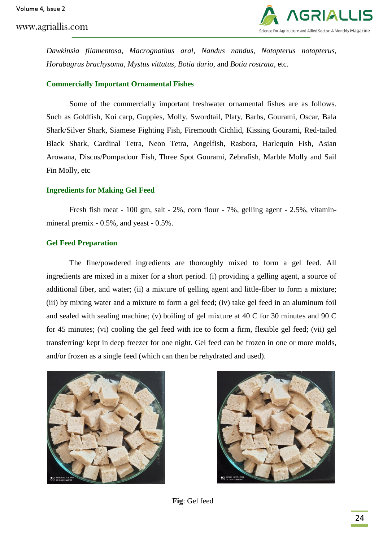

*Dawkinsia filamentosa, Macrognathus aral, Nandus nandus, Notopterus notopterus, Horabagrus brachysoma, Mystus vittatus, Botia dario,* and *Botia rostrata,* etc.

# **Commercially Important Ornamental Fishes**

Some of the commercially important freshwater ornamental fishes are as follows. Such as Goldfish, Koi carp, Guppies, Molly, Swordtail, Platy, Barbs, Gourami, Oscar, Bala Shark/Silver Shark, Siamese Fighting Fish, Firemouth Cichlid, Kissing Gourami, Red-tailed Black Shark, Cardinal Tetra, Neon Tetra, Angelfish, Rasbora, Harlequin Fish, Asian Arowana, Discus/Pompadour Fish, Three Spot Gourami, Zebrafish, Marble Molly and Sail Fin Molly, etc

## **Ingredients for Making Gel Feed**

Fresh fish meat - 100 gm, salt - 2%, corn flour - 7%, gelling agent - 2.5%, vitaminmineral premix - 0.5%, and yeast - 0.5%.

## **Gel Feed Preparation**

The fine/powdered ingredients are thoroughly mixed to form a gel feed. All ingredients are mixed in a mixer for a short period. (i) providing a gelling agent, a source of additional fiber, and water; (ii) a mixture of gelling agent and little-fiber to form a mixture; (iii) by mixing water and a mixture to form a gel feed; (iv) take gel feed in an aluminum foil and sealed with sealing machine; (v) boiling of gel mixture at 40 C for 30 minutes and 90 C for 45 minutes; (vi) cooling the gel feed with ice to form a firm, flexible gel feed; (vii) gel transferring/ kept in deep freezer for one night. Gel feed can be frozen in one or more molds, and/or frozen as a single feed (which can then be rehydrated and used).





**Fig**: Gel feed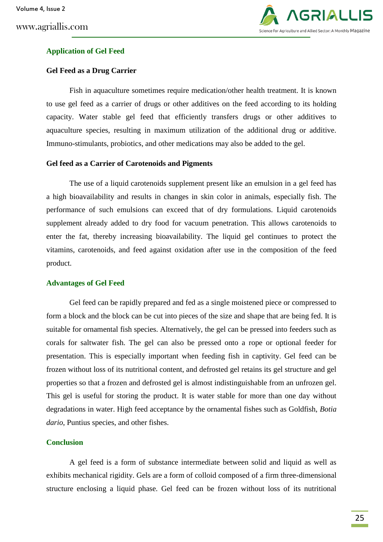

# **Application of Gel Feed**

## **Gel Feed as a Drug Carrier**

Fish in aquaculture sometimes require medication/other health treatment. It is known to use gel feed as a carrier of drugs or other additives on the feed according to its holding capacity. Water stable gel feed that efficiently transfers drugs or other additives to aquaculture species, resulting in maximum utilization of the additional drug or additive. Immuno-stimulants, probiotics, and other medications may also be added to the gel.

# **Gel feed as a Carrier of Carotenoids and Pigments**

The use of a liquid carotenoids supplement present like an emulsion in a gel feed has a high bioavailability and results in changes in skin color in animals, especially fish. The performance of such emulsions can exceed that of dry formulations. Liquid carotenoids supplement already added to dry food for vacuum penetration. This allows carotenoids to enter the fat, thereby increasing bioavailability. The liquid gel continues to protect the vitamins, carotenoids, and feed against oxidation after use in the composition of the feed product.

#### **Advantages of Gel Feed**

Gel feed can be rapidly prepared and fed as a single moistened piece or compressed to form a block and the block can be cut into pieces of the size and shape that are being fed. It is suitable for ornamental fish species. Alternatively, the gel can be pressed into feeders such as corals for saltwater fish. The gel can also be pressed onto a rope or optional feeder for presentation. This is especially important when feeding fish in captivity. Gel feed can be frozen without loss of its nutritional content, and defrosted gel retains its gel structure and gel properties so that a frozen and defrosted gel is almost indistinguishable from an unfrozen gel. This gel is useful for storing the product. It is water stable for more than one day without degradations in water. High feed acceptance by the ornamental fishes such as Goldfish, *Botia dario*, Puntius species, and other fishes.

#### **Conclusion**

A gel feed is a form of substance intermediate between solid and liquid as well as exhibits mechanical rigidity. Gels are a form of colloid composed of a firm three-dimensional structure enclosing a liquid phase. Gel feed can be frozen without loss of its nutritional